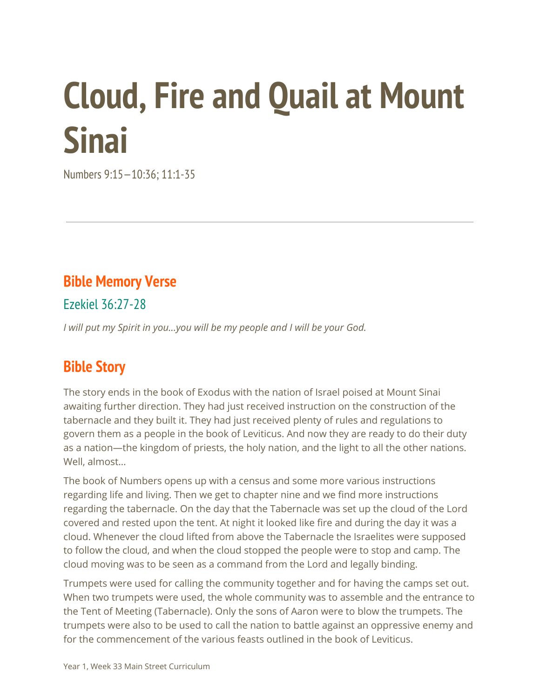# **Cloud, Fire and Quail at Mount Sinai**

Numbers 9:15—10:36; 11:1-35

#### **Bible Memory Verse**

Ezekiel 36:27-28

*I will put my Spirit in you...you will be my people and I will be your God.*

#### **Bible Story**

The story ends in the book of Exodus with the nation of Israel poised at Mount Sinai awaiting further direction. They had just received instruction on the construction of the tabernacle and they built it. They had just received plenty of rules and regulations to govern them as a people in the book of Leviticus. And now they are ready to do their duty as a nation—the kingdom of priests, the holy nation, and the light to all the other nations. Well, almost…

The book of Numbers opens up with a census and some more various instructions regarding life and living. Then we get to chapter nine and we find more instructions regarding the tabernacle. On the day that the Tabernacle was set up the cloud of the Lord covered and rested upon the tent. At night it looked like fire and during the day it was a cloud. Whenever the cloud lifted from above the Tabernacle the Israelites were supposed to follow the cloud, and when the cloud stopped the people were to stop and camp. The cloud moving was to be seen as a command from the Lord and legally binding.

Trumpets were used for calling the community together and for having the camps set out. When two trumpets were used, the whole community was to assemble and the entrance to the Tent of Meeting (Tabernacle). Only the sons of Aaron were to blow the trumpets. The trumpets were also to be used to call the nation to battle against an oppressive enemy and for the commencement of the various feasts outlined in the book of Leviticus.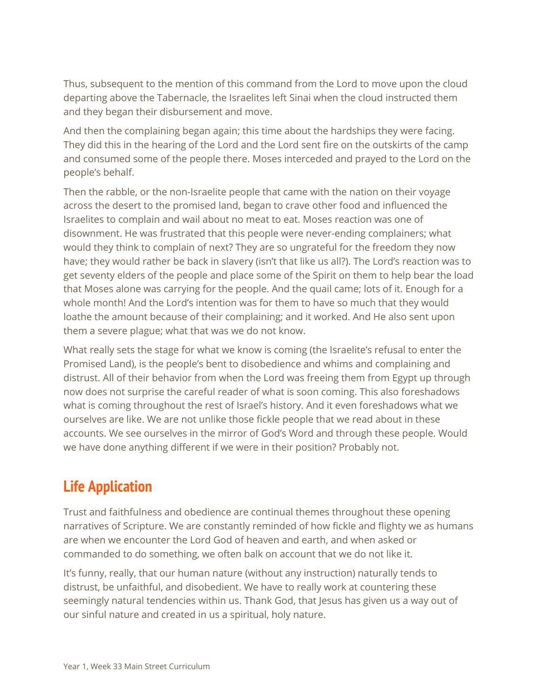Thus, subsequent to the mention of this command from the Lord to move upon the cloud departing above the Tabernacle, the Israelites left Sinai when the cloud instructed them and they began their disbursement and move.

And then the complaining began again; this time about the hardships they were facing. They did this in the hearing of the Lord and the Lord sent fire on the outskirts of the camp and consumed some of the people there. Moses interceded and prayed to the Lord on the people's behalf.

Then the rabble, or the non-Israelite people that came with the nation on their voyage across the desert to the promised land, began to crave other food and influenced the Israelites to complain and wail about no meat to eat. Moses reaction was one of disownment. He was frustrated that this people were never-ending complainers; what would they think to complain of next? They are so ungrateful for the freedom they now have; they would rather be back in slavery (isn't that like us all?). The Lord's reaction was to get seventy elders of the people and place some of the Spirit on them to help bear the load that Moses alone was carrying for the people. And the quail came; lots of it. Enough for a whole month! And the Lord's intention was for them to have so much that they would loathe the amount because of their complaining; and it worked. And He also sent upon them a severe plague; what that was we do not know.

What really sets the stage for what we know is coming (the Israelite's refusal to enter the Promised Land), is the people's bent to disobedience and whims and complaining and distrust. All of their behavior from when the Lord was freeing them from Egypt up through now does not surprise the careful reader of what is soon coming. This also foreshadows what is coming throughout the rest of Israel's history. And it even foreshadows what we ourselves are like. We are not unlike those fickle people that we read about in these accounts. We see ourselves in the mirror of God's Word and through these people. Would we have done anything different if we were in their position? Probably not.

## **Life Application**

Trust and faithfulness and obedience are continual themes throughout these opening narratives of Scripture. We are constantly reminded of how fickle and flighty we as humans are when we encounter the Lord God of heaven and earth, and when asked or commanded to do something, we often balk on account that we do not like it.

It's funny, really, that our human nature (without any instruction) naturally tends to distrust, be unfaithful, and disobedient. We have to really work at countering these seemingly natural tendencies within us. Thank God, that Jesus has given us a way out of our sinful nature and created in us a spiritual, holy nature.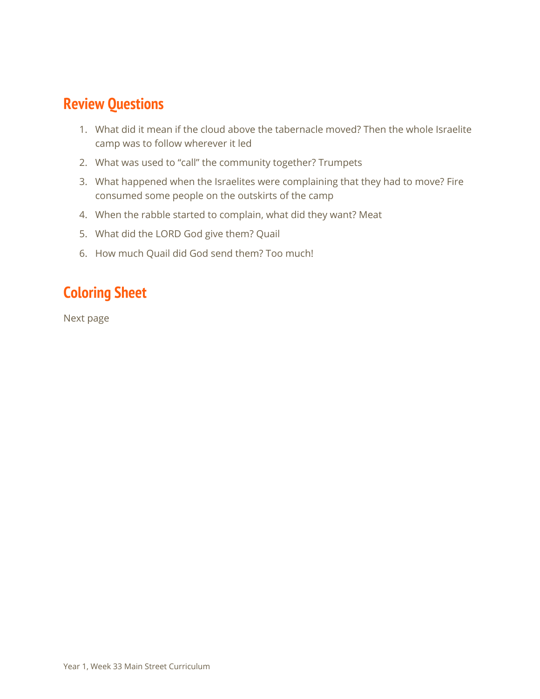### **Review Questions**

- 1. What did it mean if the cloud above the tabernacle moved? Then the whole Israelite camp was to follow wherever it led
- 2. What was used to "call" the community together? Trumpets
- 3. What happened when the Israelites were complaining that they had to move? Fire consumed some people on the outskirts of the camp
- 4. When the rabble started to complain, what did they want? Meat
- 5. What did the LORD God give them? Quail
- 6. How much Quail did God send them? Too much!

# **Coloring Sheet**

Next page